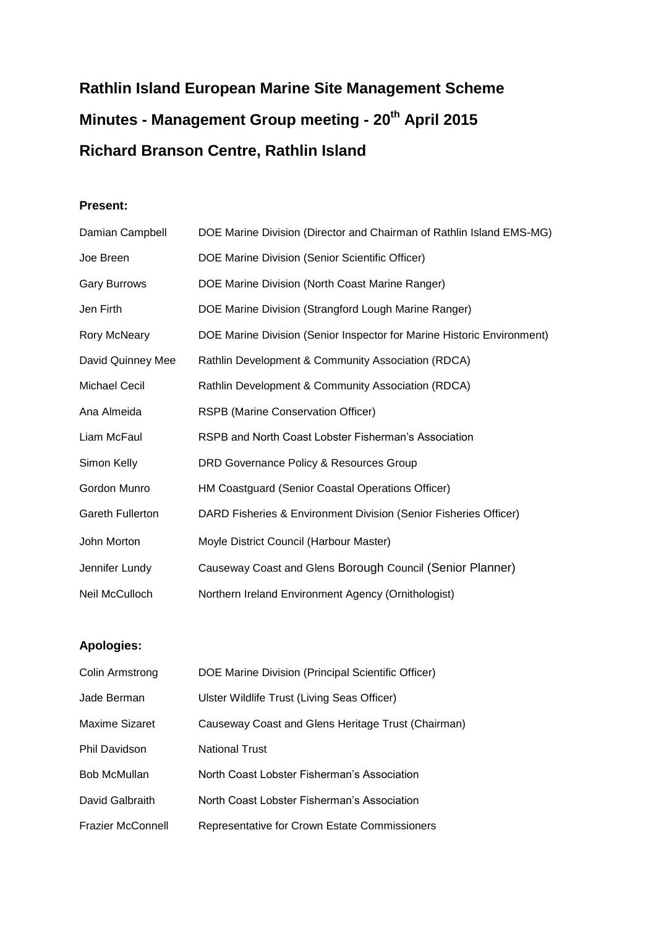# **Rathlin Island European Marine Site Management Scheme Minutes - Management Group meeting - 20th April 2015 Richard Branson Centre, Rathlin Island**

### **Present:**

| Damian Campbell         | DOE Marine Division (Director and Chairman of Rathlin Island EMS-MG)   |
|-------------------------|------------------------------------------------------------------------|
| Joe Breen               | DOE Marine Division (Senior Scientific Officer)                        |
| <b>Gary Burrows</b>     | DOE Marine Division (North Coast Marine Ranger)                        |
| Jen Firth               | DOE Marine Division (Strangford Lough Marine Ranger)                   |
| Rory McNeary            | DOE Marine Division (Senior Inspector for Marine Historic Environment) |
| David Quinney Mee       | Rathlin Development & Community Association (RDCA)                     |
| <b>Michael Cecil</b>    | Rathlin Development & Community Association (RDCA)                     |
| Ana Almeida             | RSPB (Marine Conservation Officer)                                     |
| Liam McFaul             | RSPB and North Coast Lobster Fisherman's Association                   |
| Simon Kelly             | DRD Governance Policy & Resources Group                                |
| Gordon Munro            | HM Coastguard (Senior Coastal Operations Officer)                      |
| <b>Gareth Fullerton</b> | DARD Fisheries & Environment Division (Senior Fisheries Officer)       |
| John Morton             | Moyle District Council (Harbour Master)                                |
| Jennifer Lundy          | Causeway Coast and Glens Borough Council (Senior Planner)              |
| Neil McCulloch          | Northern Ireland Environment Agency (Ornithologist)                    |

# **Apologies:**

| Colin Armstrong          | DOE Marine Division (Principal Scientific Officer) |
|--------------------------|----------------------------------------------------|
| Jade Berman              | Ulster Wildlife Trust (Living Seas Officer)        |
| Maxime Sizaret           | Causeway Coast and Glens Heritage Trust (Chairman) |
| Phil Davidson            | <b>National Trust</b>                              |
| Bob McMullan             | North Coast Lobster Fisherman's Association        |
| David Galbraith          | North Coast Lobster Fisherman's Association        |
| <b>Frazier McConnell</b> | Representative for Crown Estate Commissioners      |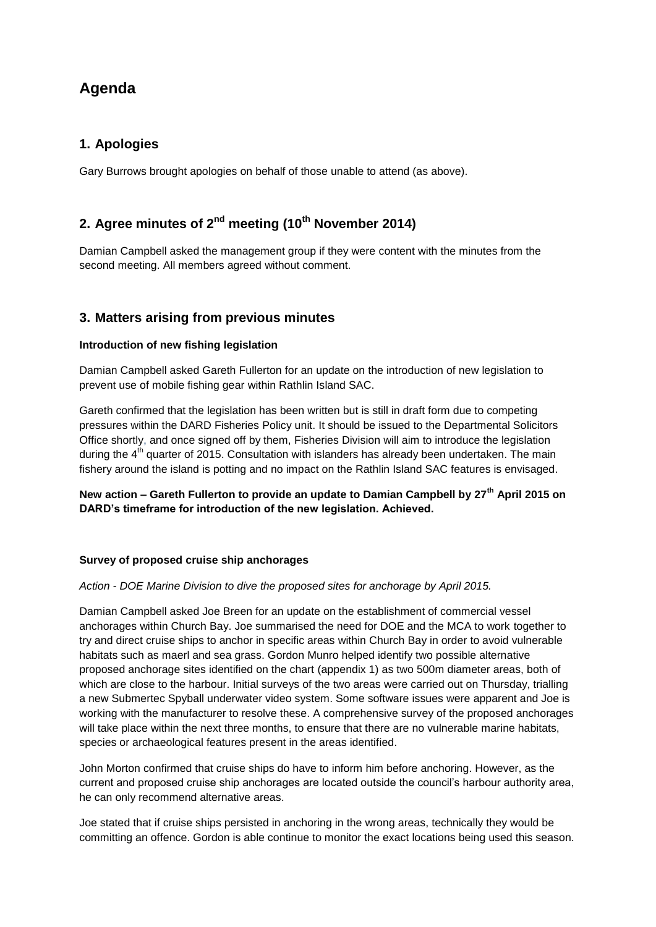# **Agenda**

# **1. Apologies**

Gary Burrows brought apologies on behalf of those unable to attend (as above).

# **2. Agree minutes of 2nd meeting (10th November 2014)**

Damian Campbell asked the management group if they were content with the minutes from the second meeting. All members agreed without comment.

# **3. Matters arising from previous minutes**

#### **Introduction of new fishing legislation**

Damian Campbell asked Gareth Fullerton for an update on the introduction of new legislation to prevent use of mobile fishing gear within Rathlin Island SAC.

Gareth confirmed that the legislation has been written but is still in draft form due to competing pressures within the DARD Fisheries Policy unit. It should be issued to the Departmental Solicitors Office shortly, and once signed off by them, Fisheries Division will aim to introduce the legislation during the 4<sup>th</sup> quarter of 2015. Consultation with islanders has already been undertaken. The main fishery around the island is potting and no impact on the Rathlin Island SAC features is envisaged.

### **New action – Gareth Fullerton to provide an update to Damian Campbell by 27th April 2015 on DARD's timeframe for introduction of the new legislation. Achieved.**

#### **Survey of proposed cruise ship anchorages**

#### *Action - DOE Marine Division to dive the proposed sites for anchorage by April 2015.*

Damian Campbell asked Joe Breen for an update on the establishment of commercial vessel anchorages within Church Bay. Joe summarised the need for DOE and the MCA to work together to try and direct cruise ships to anchor in specific areas within Church Bay in order to avoid vulnerable habitats such as maerl and sea grass. Gordon Munro helped identify two possible alternative proposed anchorage sites identified on the chart (appendix 1) as two 500m diameter areas, both of which are close to the harbour. Initial surveys of the two areas were carried out on Thursday, trialling a new Submertec Spyball underwater video system. Some software issues were apparent and Joe is working with the manufacturer to resolve these. A comprehensive survey of the proposed anchorages will take place within the next three months, to ensure that there are no vulnerable marine habitats, species or archaeological features present in the areas identified.

John Morton confirmed that cruise ships do have to inform him before anchoring. However, as the current and proposed cruise ship anchorages are located outside the council's harbour authority area, he can only recommend alternative areas.

Joe stated that if cruise ships persisted in anchoring in the wrong areas, technically they would be committing an offence. Gordon is able continue to monitor the exact locations being used this season.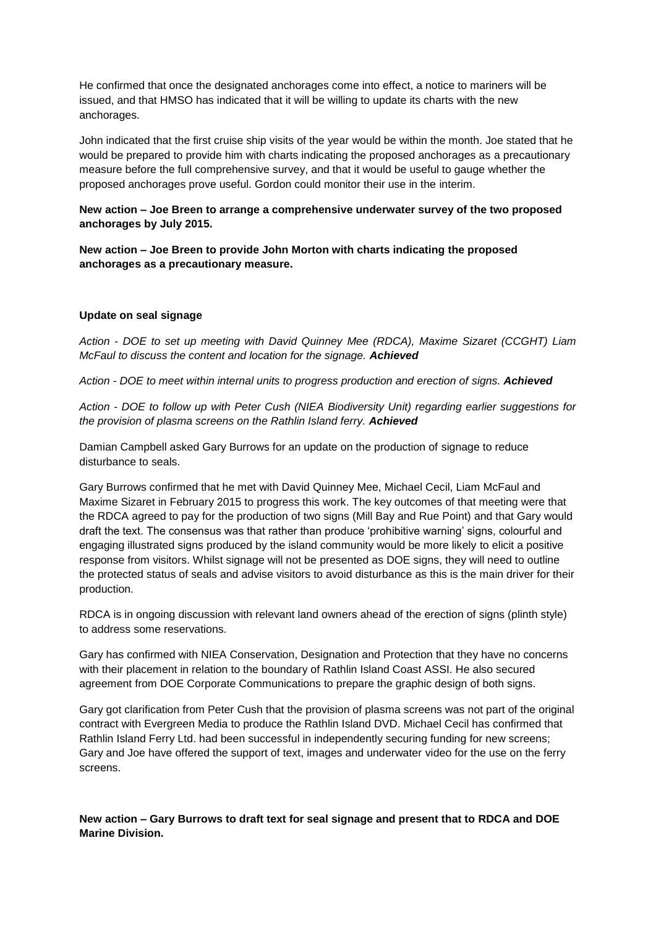He confirmed that once the designated anchorages come into effect, a notice to mariners will be issued, and that HMSO has indicated that it will be willing to update its charts with the new anchorages.

John indicated that the first cruise ship visits of the year would be within the month. Joe stated that he would be prepared to provide him with charts indicating the proposed anchorages as a precautionary measure before the full comprehensive survey, and that it would be useful to gauge whether the proposed anchorages prove useful. Gordon could monitor their use in the interim.

**New action – Joe Breen to arrange a comprehensive underwater survey of the two proposed anchorages by July 2015.**

**New action – Joe Breen to provide John Morton with charts indicating the proposed anchorages as a precautionary measure.**

#### **Update on seal signage**

*Action - DOE to set up meeting with David Quinney Mee (RDCA), Maxime Sizaret (CCGHT) Liam McFaul to discuss the content and location for the signage. Achieved*

*Action - DOE to meet within internal units to progress production and erection of signs. Achieved*

*Action - DOE to follow up with Peter Cush (NIEA Biodiversity Unit) regarding earlier suggestions for the provision of plasma screens on the Rathlin Island ferry. Achieved*

Damian Campbell asked Gary Burrows for an update on the production of signage to reduce disturbance to seals.

Gary Burrows confirmed that he met with David Quinney Mee, Michael Cecil, Liam McFaul and Maxime Sizaret in February 2015 to progress this work. The key outcomes of that meeting were that the RDCA agreed to pay for the production of two signs (Mill Bay and Rue Point) and that Gary would draft the text. The consensus was that rather than produce 'prohibitive warning' signs, colourful and engaging illustrated signs produced by the island community would be more likely to elicit a positive response from visitors. Whilst signage will not be presented as DOE signs, they will need to outline the protected status of seals and advise visitors to avoid disturbance as this is the main driver for their production.

RDCA is in ongoing discussion with relevant land owners ahead of the erection of signs (plinth style) to address some reservations.

Gary has confirmed with NIEA Conservation, Designation and Protection that they have no concerns with their placement in relation to the boundary of Rathlin Island Coast ASSI. He also secured agreement from DOE Corporate Communications to prepare the graphic design of both signs.

Gary got clarification from Peter Cush that the provision of plasma screens was not part of the original contract with Evergreen Media to produce the Rathlin Island DVD. Michael Cecil has confirmed that Rathlin Island Ferry Ltd. had been successful in independently securing funding for new screens; Gary and Joe have offered the support of text, images and underwater video for the use on the ferry screens.

**New action – Gary Burrows to draft text for seal signage and present that to RDCA and DOE Marine Division.**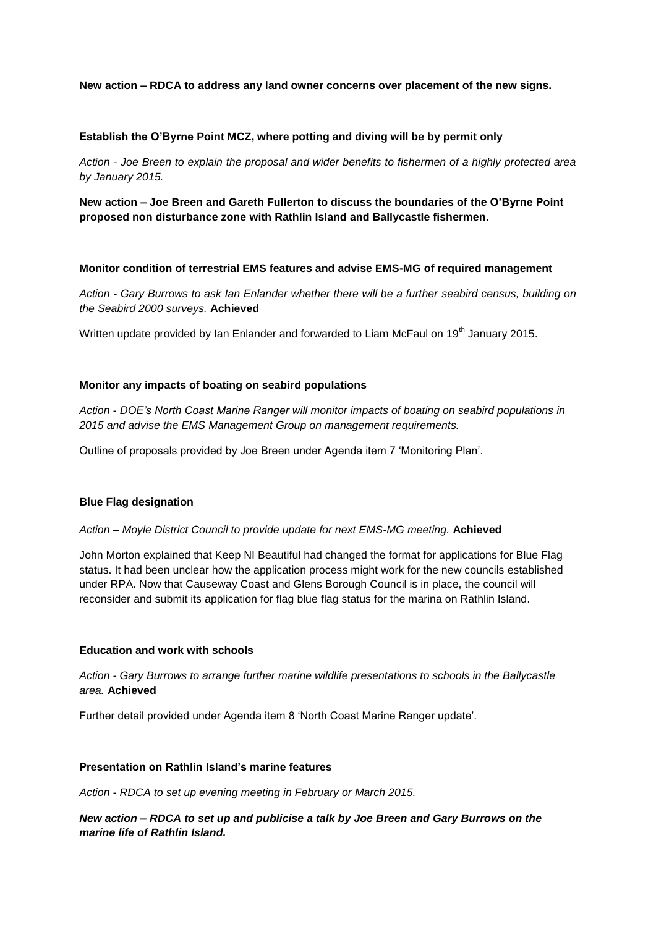#### **New action – RDCA to address any land owner concerns over placement of the new signs.**

#### **Establish the O'Byrne Point MCZ, where potting and diving will be by permit only**

*Action - Joe Breen to explain the proposal and wider benefits to fishermen of a highly protected area by January 2015.* 

**New action – Joe Breen and Gareth Fullerton to discuss the boundaries of the O'Byrne Point proposed non disturbance zone with Rathlin Island and Ballycastle fishermen.**

#### **Monitor condition of terrestrial EMS features and advise EMS-MG of required management**

*Action - Gary Burrows to ask Ian Enlander whether there will be a further seabird census, building on the Seabird 2000 surveys.* **Achieved**

Written update provided by Ian Enlander and forwarded to Liam McFaul on 19<sup>th</sup> January 2015.

#### **Monitor any impacts of boating on seabird populations**

*Action - DOE's North Coast Marine Ranger will monitor impacts of boating on seabird populations in 2015 and advise the EMS Management Group on management requirements.*

Outline of proposals provided by Joe Breen under Agenda item 7 'Monitoring Plan'.

#### **Blue Flag designation**

#### *Action – Moyle District Council to provide update for next EMS-MG meeting.* **Achieved**

John Morton explained that Keep NI Beautiful had changed the format for applications for Blue Flag status. It had been unclear how the application process might work for the new councils established under RPA. Now that Causeway Coast and Glens Borough Council is in place, the council will reconsider and submit its application for flag blue flag status for the marina on Rathlin Island.

#### **Education and work with schools**

*Action - Gary Burrows to arrange further marine wildlife presentations to schools in the Ballycastle area.* **Achieved**

Further detail provided under Agenda item 8 'North Coast Marine Ranger update'.

#### **Presentation on Rathlin Island's marine features**

*Action - RDCA to set up evening meeting in February or March 2015.* 

*New action – RDCA to set up and publicise a talk by Joe Breen and Gary Burrows on the marine life of Rathlin Island.*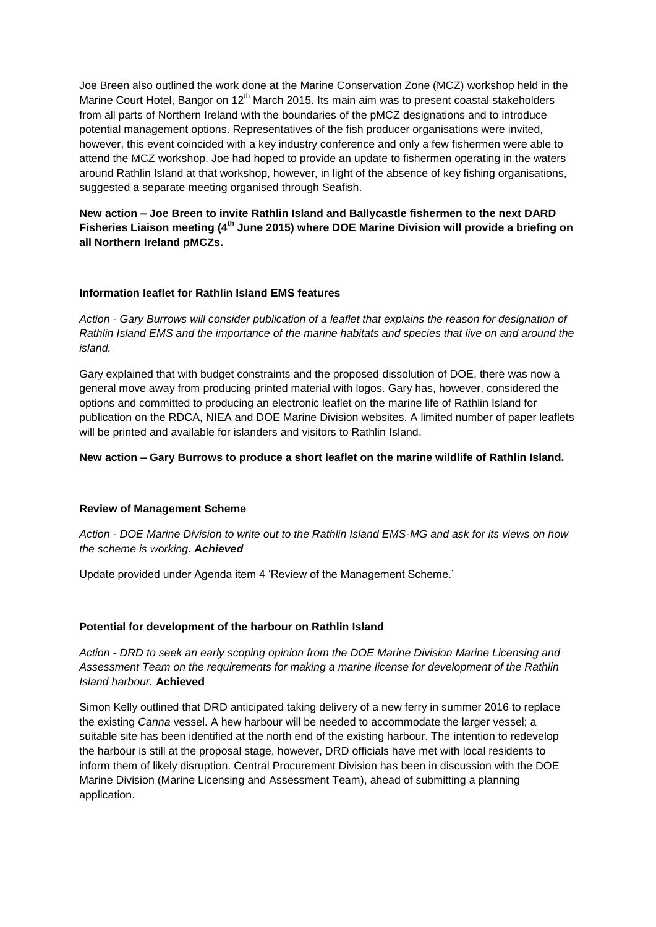Joe Breen also outlined the work done at the Marine Conservation Zone (MCZ) workshop held in the Marine Court Hotel, Bangor on 12<sup>th</sup> March 2015. Its main aim was to present coastal stakeholders from all parts of Northern Ireland with the boundaries of the pMCZ designations and to introduce potential management options. Representatives of the fish producer organisations were invited, however, this event coincided with a key industry conference and only a few fishermen were able to attend the MCZ workshop. Joe had hoped to provide an update to fishermen operating in the waters around Rathlin Island at that workshop, however, in light of the absence of key fishing organisations, suggested a separate meeting organised through Seafish.

**New action – Joe Breen to invite Rathlin Island and Ballycastle fishermen to the next DARD Fisheries Liaison meeting (4th June 2015) where DOE Marine Division will provide a briefing on all Northern Ireland pMCZs.**

#### **Information leaflet for Rathlin Island EMS features**

*Action - Gary Burrows will consider publication of a leaflet that explains the reason for designation of Rathlin Island EMS and the importance of the marine habitats and species that live on and around the island.*

Gary explained that with budget constraints and the proposed dissolution of DOE, there was now a general move away from producing printed material with logos. Gary has, however, considered the options and committed to producing an electronic leaflet on the marine life of Rathlin Island for publication on the RDCA, NIEA and DOE Marine Division websites. A limited number of paper leaflets will be printed and available for islanders and visitors to Rathlin Island.

#### **New action – Gary Burrows to produce a short leaflet on the marine wildlife of Rathlin Island.**

#### **Review of Management Scheme**

*Action - DOE Marine Division to write out to the Rathlin Island EMS-MG and ask for its views on how the scheme is working. Achieved*

Update provided under Agenda item 4 'Review of the Management Scheme.'

#### **Potential for development of the harbour on Rathlin Island**

*Action - DRD to seek an early scoping opinion from the DOE Marine Division Marine Licensing and Assessment Team on the requirements for making a marine license for development of the Rathlin Island harbour.* **Achieved**

Simon Kelly outlined that DRD anticipated taking delivery of a new ferry in summer 2016 to replace the existing *Canna* vessel. A hew harbour will be needed to accommodate the larger vessel; a suitable site has been identified at the north end of the existing harbour. The intention to redevelop the harbour is still at the proposal stage, however, DRD officials have met with local residents to inform them of likely disruption. Central Procurement Division has been in discussion with the DOE Marine Division (Marine Licensing and Assessment Team), ahead of submitting a planning application.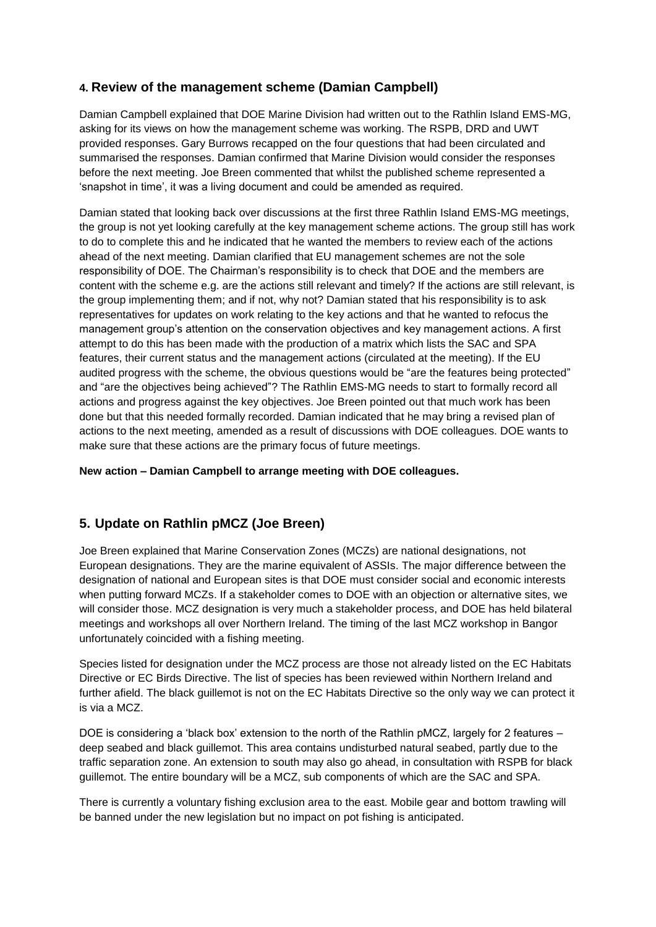# **4. Review of the management scheme (Damian Campbell)**

Damian Campbell explained that DOE Marine Division had written out to the Rathlin Island EMS-MG, asking for its views on how the management scheme was working. The RSPB, DRD and UWT provided responses. Gary Burrows recapped on the four questions that had been circulated and summarised the responses. Damian confirmed that Marine Division would consider the responses before the next meeting. Joe Breen commented that whilst the published scheme represented a 'snapshot in time', it was a living document and could be amended as required.

Damian stated that looking back over discussions at the first three Rathlin Island EMS-MG meetings, the group is not yet looking carefully at the key management scheme actions. The group still has work to do to complete this and he indicated that he wanted the members to review each of the actions ahead of the next meeting. Damian clarified that EU management schemes are not the sole responsibility of DOE. The Chairman's responsibility is to check that DOE and the members are content with the scheme e.g. are the actions still relevant and timely? If the actions are still relevant, is the group implementing them; and if not, why not? Damian stated that his responsibility is to ask representatives for updates on work relating to the key actions and that he wanted to refocus the management group's attention on the conservation objectives and key management actions. A first attempt to do this has been made with the production of a matrix which lists the SAC and SPA features, their current status and the management actions (circulated at the meeting). If the EU audited progress with the scheme, the obvious questions would be "are the features being protected" and "are the objectives being achieved"? The Rathlin EMS-MG needs to start to formally record all actions and progress against the key objectives. Joe Breen pointed out that much work has been done but that this needed formally recorded. Damian indicated that he may bring a revised plan of actions to the next meeting, amended as a result of discussions with DOE colleagues. DOE wants to make sure that these actions are the primary focus of future meetings.

### **New action – Damian Campbell to arrange meeting with DOE colleagues.**

# **5. Update on Rathlin pMCZ (Joe Breen)**

Joe Breen explained that Marine Conservation Zones (MCZs) are national designations, not European designations. They are the marine equivalent of ASSIs. The major difference between the designation of national and European sites is that DOE must consider social and economic interests when putting forward MCZs. If a stakeholder comes to DOE with an objection or alternative sites, we will consider those. MCZ designation is very much a stakeholder process, and DOE has held bilateral meetings and workshops all over Northern Ireland. The timing of the last MCZ workshop in Bangor unfortunately coincided with a fishing meeting.

Species listed for designation under the MCZ process are those not already listed on the EC Habitats Directive or EC Birds Directive. The list of species has been reviewed within Northern Ireland and further afield. The black guillemot is not on the EC Habitats Directive so the only way we can protect it is via a MCZ.

DOE is considering a 'black box' extension to the north of the Rathlin pMCZ, largely for 2 features – deep seabed and black guillemot. This area contains undisturbed natural seabed, partly due to the traffic separation zone. An extension to south may also go ahead, in consultation with RSPB for black guillemot. The entire boundary will be a MCZ, sub components of which are the SAC and SPA.

There is currently a voluntary fishing exclusion area to the east. Mobile gear and bottom trawling will be banned under the new legislation but no impact on pot fishing is anticipated.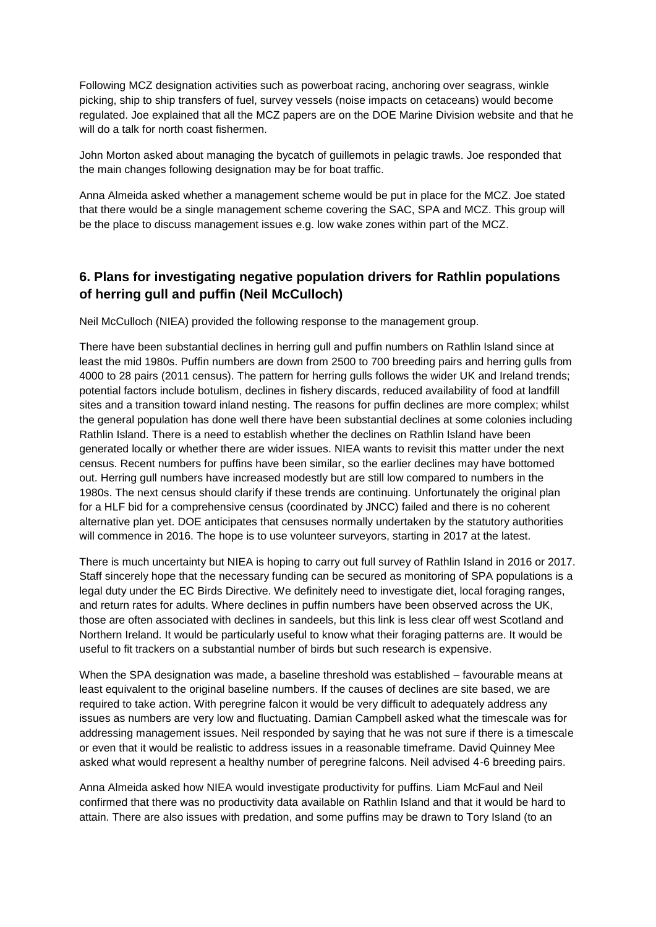Following MCZ designation activities such as powerboat racing, anchoring over seagrass, winkle picking, ship to ship transfers of fuel, survey vessels (noise impacts on cetaceans) would become regulated. Joe explained that all the MCZ papers are on the DOE Marine Division website and that he will do a talk for north coast fishermen.

John Morton asked about managing the bycatch of guillemots in pelagic trawls. Joe responded that the main changes following designation may be for boat traffic.

Anna Almeida asked whether a management scheme would be put in place for the MCZ. Joe stated that there would be a single management scheme covering the SAC, SPA and MCZ. This group will be the place to discuss management issues e.g. low wake zones within part of the MCZ.

# **6. Plans for investigating negative population drivers for Rathlin populations of herring gull and puffin (Neil McCulloch)**

Neil McCulloch (NIEA) provided the following response to the management group.

There have been substantial declines in herring gull and puffin numbers on Rathlin Island since at least the mid 1980s. Puffin numbers are down from 2500 to 700 breeding pairs and herring gulls from 4000 to 28 pairs (2011 census). The pattern for herring gulls follows the wider UK and Ireland trends; potential factors include botulism, declines in fishery discards, reduced availability of food at landfill sites and a transition toward inland nesting. The reasons for puffin declines are more complex; whilst the general population has done well there have been substantial declines at some colonies including Rathlin Island. There is a need to establish whether the declines on Rathlin Island have been generated locally or whether there are wider issues. NIEA wants to revisit this matter under the next census. Recent numbers for puffins have been similar, so the earlier declines may have bottomed out. Herring gull numbers have increased modestly but are still low compared to numbers in the 1980s. The next census should clarify if these trends are continuing. Unfortunately the original plan for a HLF bid for a comprehensive census (coordinated by JNCC) failed and there is no coherent alternative plan yet. DOE anticipates that censuses normally undertaken by the statutory authorities will commence in 2016. The hope is to use volunteer surveyors, starting in 2017 at the latest.

There is much uncertainty but NIEA is hoping to carry out full survey of Rathlin Island in 2016 or 2017. Staff sincerely hope that the necessary funding can be secured as monitoring of SPA populations is a legal duty under the EC Birds Directive. We definitely need to investigate diet, local foraging ranges, and return rates for adults. Where declines in puffin numbers have been observed across the UK, those are often associated with declines in sandeels, but this link is less clear off west Scotland and Northern Ireland. It would be particularly useful to know what their foraging patterns are. It would be useful to fit trackers on a substantial number of birds but such research is expensive.

When the SPA designation was made, a baseline threshold was established – favourable means at least equivalent to the original baseline numbers. If the causes of declines are site based, we are required to take action. With peregrine falcon it would be very difficult to adequately address any issues as numbers are very low and fluctuating. Damian Campbell asked what the timescale was for addressing management issues. Neil responded by saying that he was not sure if there is a timescale or even that it would be realistic to address issues in a reasonable timeframe. David Quinney Mee asked what would represent a healthy number of peregrine falcons. Neil advised 4-6 breeding pairs.

Anna Almeida asked how NIEA would investigate productivity for puffins. Liam McFaul and Neil confirmed that there was no productivity data available on Rathlin Island and that it would be hard to attain. There are also issues with predation, and some puffins may be drawn to Tory Island (to an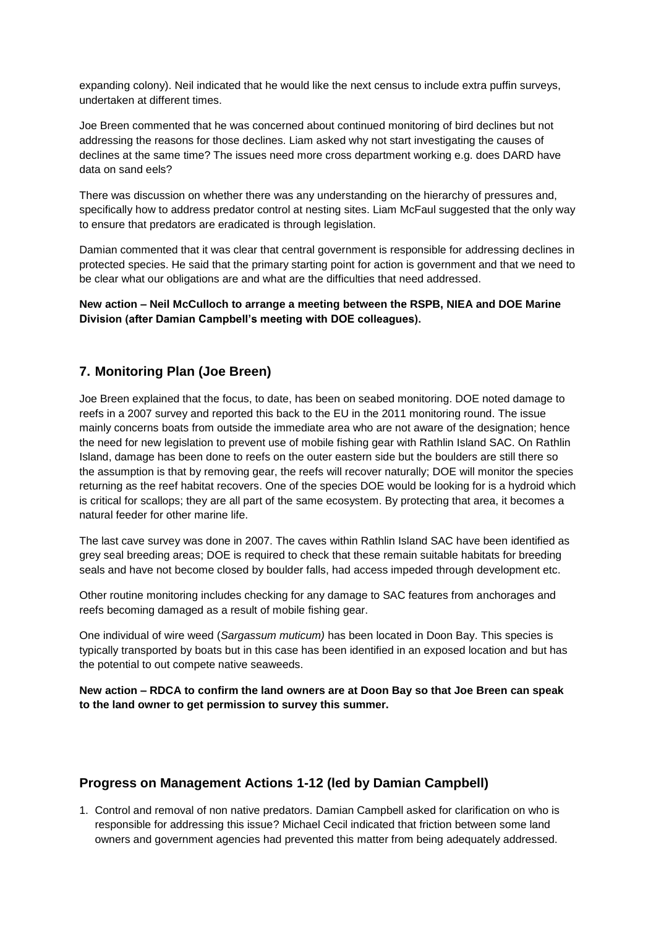expanding colony). Neil indicated that he would like the next census to include extra puffin surveys, undertaken at different times.

Joe Breen commented that he was concerned about continued monitoring of bird declines but not addressing the reasons for those declines. Liam asked why not start investigating the causes of declines at the same time? The issues need more cross department working e.g. does DARD have data on sand eels?

There was discussion on whether there was any understanding on the hierarchy of pressures and, specifically how to address predator control at nesting sites. Liam McFaul suggested that the only way to ensure that predators are eradicated is through legislation.

Damian commented that it was clear that central government is responsible for addressing declines in protected species. He said that the primary starting point for action is government and that we need to be clear what our obligations are and what are the difficulties that need addressed.

**New action – Neil McCulloch to arrange a meeting between the RSPB, NIEA and DOE Marine Division (after Damian Campbell's meeting with DOE colleagues).**

# **7. Monitoring Plan (Joe Breen)**

Joe Breen explained that the focus, to date, has been on seabed monitoring. DOE noted damage to reefs in a 2007 survey and reported this back to the EU in the 2011 monitoring round. The issue mainly concerns boats from outside the immediate area who are not aware of the designation; hence the need for new legislation to prevent use of mobile fishing gear with Rathlin Island SAC. On Rathlin Island, damage has been done to reefs on the outer eastern side but the boulders are still there so the assumption is that by removing gear, the reefs will recover naturally; DOE will monitor the species returning as the reef habitat recovers. One of the species DOE would be looking for is a hydroid which is critical for scallops; they are all part of the same ecosystem. By protecting that area, it becomes a natural feeder for other marine life.

The last cave survey was done in 2007. The caves within Rathlin Island SAC have been identified as grey seal breeding areas; DOE is required to check that these remain suitable habitats for breeding seals and have not become closed by boulder falls, had access impeded through development etc.

Other routine monitoring includes checking for any damage to SAC features from anchorages and reefs becoming damaged as a result of mobile fishing gear.

One individual of wire weed (*Sargassum muticum)* has been located in Doon Bay. This species is typically transported by boats but in this case has been identified in an exposed location and but has the potential to out compete native seaweeds.

**New action – RDCA to confirm the land owners are at Doon Bay so that Joe Breen can speak to the land owner to get permission to survey this summer.**

# **Progress on Management Actions 1-12 (led by Damian Campbell)**

1. Control and removal of non native predators. Damian Campbell asked for clarification on who is responsible for addressing this issue? Michael Cecil indicated that friction between some land owners and government agencies had prevented this matter from being adequately addressed.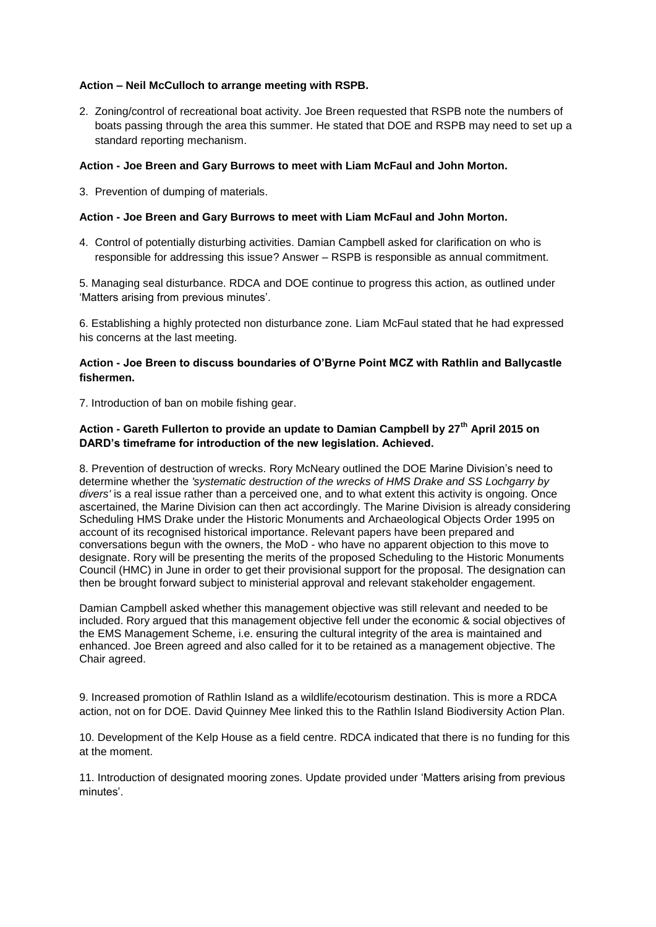#### **Action – Neil McCulloch to arrange meeting with RSPB.**

2. Zoning/control of recreational boat activity. Joe Breen requested that RSPB note the numbers of boats passing through the area this summer. He stated that DOE and RSPB may need to set up a standard reporting mechanism.

#### **Action - Joe Breen and Gary Burrows to meet with Liam McFaul and John Morton.**

3. Prevention of dumping of materials.

#### **Action - Joe Breen and Gary Burrows to meet with Liam McFaul and John Morton.**

4. Control of potentially disturbing activities. Damian Campbell asked for clarification on who is responsible for addressing this issue? Answer – RSPB is responsible as annual commitment.

5. Managing seal disturbance. RDCA and DOE continue to progress this action, as outlined under 'Matters arising from previous minutes'.

6. Establishing a highly protected non disturbance zone. Liam McFaul stated that he had expressed his concerns at the last meeting.

#### **Action - Joe Breen to discuss boundaries of O'Byrne Point MCZ with Rathlin and Ballycastle fishermen.**

7. Introduction of ban on mobile fishing gear.

### **Action - Gareth Fullerton to provide an update to Damian Campbell by 27th April 2015 on DARD's timeframe for introduction of the new legislation. Achieved.**

8. Prevention of destruction of wrecks. Rory McNeary outlined the DOE Marine Division's need to determine whether the *'systematic destruction of the wrecks of HMS Drake and SS Lochgarry by divers'* is a real issue rather than a perceived one, and to what extent this activity is ongoing. Once ascertained, the Marine Division can then act accordingly. The Marine Division is already considering Scheduling HMS Drake under the Historic Monuments and Archaeological Objects Order 1995 on account of its recognised historical importance. Relevant papers have been prepared and conversations begun with the owners, the MoD - who have no apparent objection to this move to designate. Rory will be presenting the merits of the proposed Scheduling to the Historic Monuments Council (HMC) in June in order to get their provisional support for the proposal. The designation can then be brought forward subject to ministerial approval and relevant stakeholder engagement.

Damian Campbell asked whether this management objective was still relevant and needed to be included. Rory argued that this management objective fell under the economic & social objectives of the EMS Management Scheme, i.e. ensuring the cultural integrity of the area is maintained and enhanced. Joe Breen agreed and also called for it to be retained as a management objective. The Chair agreed.

9. Increased promotion of Rathlin Island as a wildlife/ecotourism destination. This is more a RDCA action, not on for DOE. David Quinney Mee linked this to the Rathlin Island Biodiversity Action Plan.

10. Development of the Kelp House as a field centre. RDCA indicated that there is no funding for this at the moment.

11. Introduction of designated mooring zones. Update provided under 'Matters arising from previous minutes'.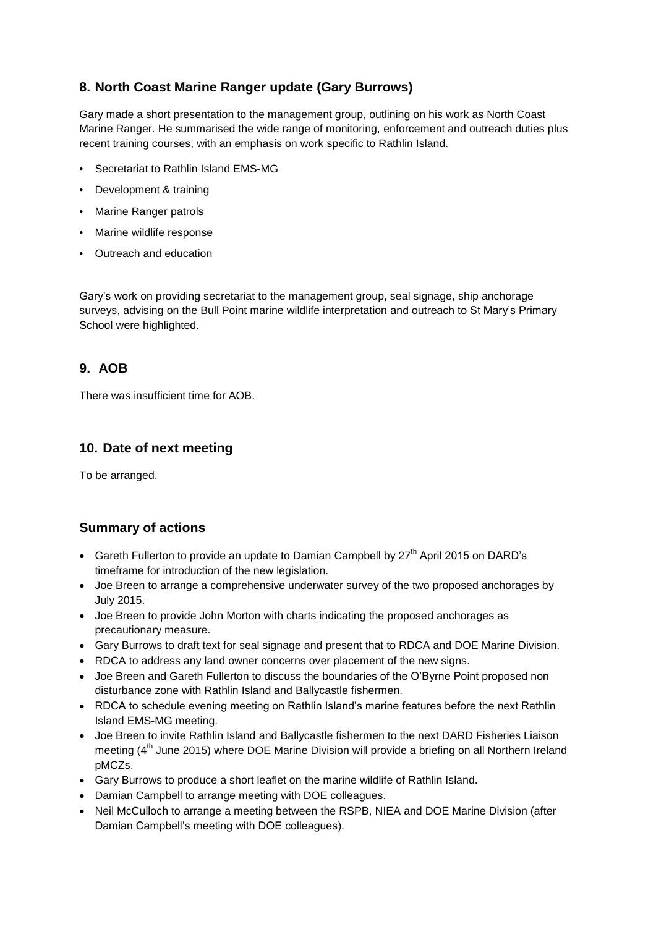# **8. North Coast Marine Ranger update (Gary Burrows)**

Gary made a short presentation to the management group, outlining on his work as North Coast Marine Ranger. He summarised the wide range of monitoring, enforcement and outreach duties plus recent training courses, with an emphasis on work specific to Rathlin Island.

- Secretariat to Rathlin Island EMS-MG
- Development & training
- Marine Ranger patrols
- Marine wildlife response
- Outreach and education

Gary's work on providing secretariat to the management group, seal signage, ship anchorage surveys, advising on the Bull Point marine wildlife interpretation and outreach to St Mary's Primary School were highlighted.

# **9. AOB**

There was insufficient time for AOB.

# **10. Date of next meeting**

To be arranged.

# **Summary of actions**

- Gareth Fullerton to provide an update to Damian Campbell by  $27<sup>th</sup>$  April 2015 on DARD's timeframe for introduction of the new legislation.
- Joe Breen to arrange a comprehensive underwater survey of the two proposed anchorages by July 2015.
- Joe Breen to provide John Morton with charts indicating the proposed anchorages as precautionary measure.
- Gary Burrows to draft text for seal signage and present that to RDCA and DOE Marine Division.
- RDCA to address any land owner concerns over placement of the new signs.
- Joe Breen and Gareth Fullerton to discuss the boundaries of the O'Byrne Point proposed non disturbance zone with Rathlin Island and Ballycastle fishermen.
- RDCA to schedule evening meeting on Rathlin Island's marine features before the next Rathlin Island EMS-MG meeting.
- Joe Breen to invite Rathlin Island and Ballycastle fishermen to the next DARD Fisheries Liaison meeting  $(4<sup>th</sup>$  June 2015) where DOE Marine Division will provide a briefing on all Northern Ireland pMCZs.
- Gary Burrows to produce a short leaflet on the marine wildlife of Rathlin Island.
- Damian Campbell to arrange meeting with DOE colleagues.
- Neil McCulloch to arrange a meeting between the RSPB, NIEA and DOE Marine Division (after Damian Campbell's meeting with DOE colleagues).